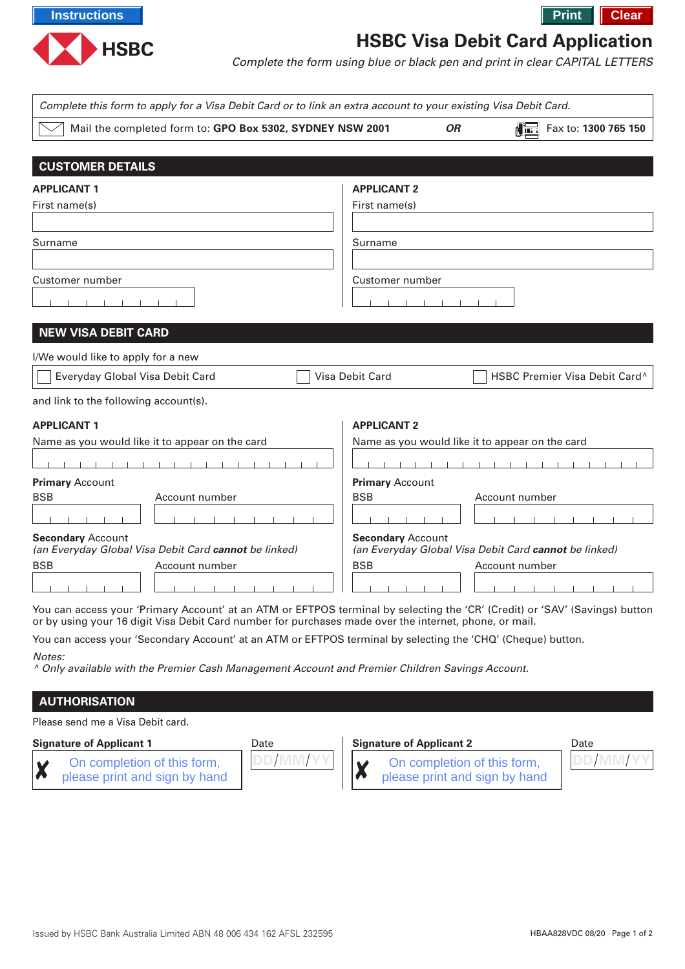

## **HSBC Visa Debit Card Application**

Complete the form using blue or black pen and print in clear CAPITAL LETTERS

| Complete this form to apply for a Visa Debit Card or to link an extra account to your existing Visa Debit Card. |                                                                                                                             |  |  |  |  |
|-----------------------------------------------------------------------------------------------------------------|-----------------------------------------------------------------------------------------------------------------------------|--|--|--|--|
| Mail the completed form to: GPO Box 5302, SYDNEY NSW 2001                                                       | Fax to: 1300 765 150<br><b>OR</b>                                                                                           |  |  |  |  |
|                                                                                                                 |                                                                                                                             |  |  |  |  |
| <b>CUSTOMER DETAILS</b>                                                                                         |                                                                                                                             |  |  |  |  |
| <b>APPLICANT 1</b>                                                                                              | <b>APPLICANT 2</b>                                                                                                          |  |  |  |  |
| First name(s)                                                                                                   | First name(s)                                                                                                               |  |  |  |  |
|                                                                                                                 |                                                                                                                             |  |  |  |  |
| Surname                                                                                                         | Surname                                                                                                                     |  |  |  |  |
|                                                                                                                 |                                                                                                                             |  |  |  |  |
| Customer number                                                                                                 | Customer number                                                                                                             |  |  |  |  |
|                                                                                                                 |                                                                                                                             |  |  |  |  |
| <b>NEW VISA DEBIT CARD</b>                                                                                      |                                                                                                                             |  |  |  |  |
|                                                                                                                 |                                                                                                                             |  |  |  |  |
| I/We would like to apply for a new                                                                              |                                                                                                                             |  |  |  |  |
| Everyday Global Visa Debit Card                                                                                 | HSBC Premier Visa Debit Card^<br><b>Visa Debit Card</b>                                                                     |  |  |  |  |
| and link to the following account(s).                                                                           |                                                                                                                             |  |  |  |  |
| <b>APPLICANT 1</b>                                                                                              | <b>APPLICANT 2</b>                                                                                                          |  |  |  |  |
| Name as you would like it to appear on the card                                                                 | Name as you would like it to appear on the card                                                                             |  |  |  |  |
|                                                                                                                 |                                                                                                                             |  |  |  |  |
| <b>Primary Account</b>                                                                                          | <b>Primary Account</b>                                                                                                      |  |  |  |  |
| <b>BSB</b><br>Account number                                                                                    | <b>BSB</b><br>Account number                                                                                                |  |  |  |  |
|                                                                                                                 |                                                                                                                             |  |  |  |  |
| <b>Secondary Account</b><br>(an Everyday Global Visa Debit Card cannot be linked)                               | <b>Secondary Account</b><br>(an Everyday Global Visa Debit Card cannot be linked)                                           |  |  |  |  |
| <b>BSB</b><br>Account number                                                                                    | <b>BSB</b><br>Account number                                                                                                |  |  |  |  |
|                                                                                                                 |                                                                                                                             |  |  |  |  |
|                                                                                                                 | Vou can access vour 'Primary Account' at an ATM or EETPOS terminal by selecting the 'CR' (Credit) or 'SAV' (Savings) button |  |  |  |  |

count' at an ATM or EFTPOS terminal by selecting the 'CR' (Credit) or 'SAV' (Savings) button or by using your 16 digit Visa Debit Card number for purchases made over the internet, phone, or mail.

You can access your 'Secondary Account' at an ATM or EFTPOS terminal by selecting the 'CHQ' (Cheque) button.

Notes:

^ Only available with the Premier Cash Management Account and Premier Children Savings Account.

## **AUTHORISATION**

Please send me a Visa Debit card.

## **Signature of Applicant 1** Date

On completion of this form, Χ please print and sign by hand



## **Signature of Applicant 2** Date

On completion of this form, please print and sign by hand